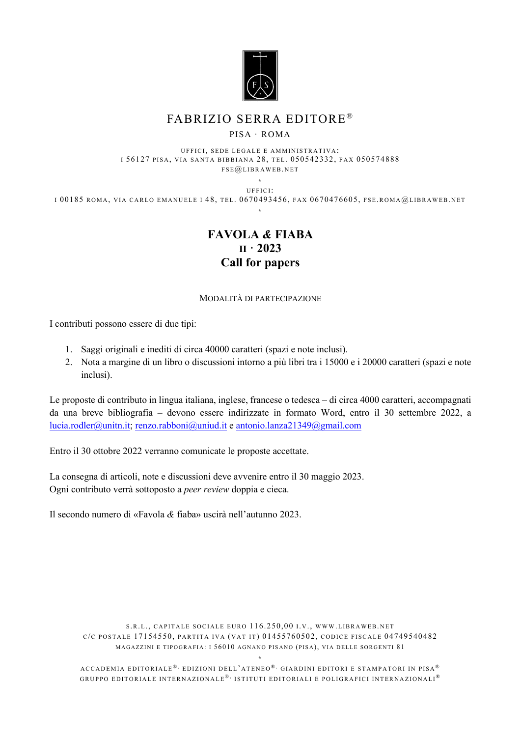

## FABRIZIO SERRA EDITORE ®

#### PISA · ROMA

UFFICI, SEDE LEGALE E AMMINISTRATIVA: I 56127 PISA, VIA SANTA BIBBIANA 28, TEL. 050542332, FAX 050574888 FSE@LIBRAWEB. NET

**\*** UFFICI: I 00185 ROMA, VIA CARLO EMANUELE I 48, TEL. 0670493456, FAX 0670476605, FSE.ROMA@LIBRAWEB. NET **\***

## **FAVOLA** *&* **FIABA II · 2023 Call for papers**

### MODALITÀ DI PARTECIPAZIONE

I contributi possono essere di due tipi:

- 1. Saggi originali e inediti di circa 40000 caratteri (spazi e note inclusi).
- 2. Nota a margine di un libro o discussioni intorno a più libri tra i 15000 e i 20000 caratteri (spazi e note inclusi).

Le proposte di contributo in lingua italiana, inglese, francese o tedesca – di circa 4000 caratteri, accompagnati da una breve bibliografia – devono essere indirizzate in formato Word, entro il 30 settembre 2022, a [lucia.rodler@unitn.it;](mailto:lucia.rodler@unitn.it) [renzo.rabboni@uniud.it](mailto:renzo.rabboni@uniud.it) [e antonio.lanza21349@gmail.com](mailto:antonio.lanza21349@gmail.com)

Entro il 30 ottobre 2022 verranno comunicate le proposte accettate.

La consegna di articoli, note e discussioni deve avvenire entro il 30 maggio 2023. Ogni contributo verrà sottoposto a *peer review* doppia e cieca.

Il secondo numero di «Favola *&* fiaba» uscirà nell'autunno 2023.

S.R. L., CAPITALE SOCIALE EURO 116.250,00 I.V., WWW . [LIBRAWEB.](http://www.libraweb.net/) NET C/C POSTALE 17154550, PARTITA IVA ( VAT IT) 01455760502, CODICE FISCALE 04749540482 MAGAZZINI E TIPOGRAFIA: I 56010 AGNANO PISANO (PISA), VIA DELLE SORGENTI 81

**\*** ACCADEMIA EDITORIALE<sup>®,</sup> EDIZIONI DELL'ATENEO<sup>®,</sup> GIARDINI EDITORI E STAMPATORI IN PISA<sup>®</sup> GRUPPO EDITORIALE INTERNAZIONALE<sup>®,</sup> ISTITUTI EDITORIALI E POLIGRAFICI INTERNAZIONALI<sup>®</sup>